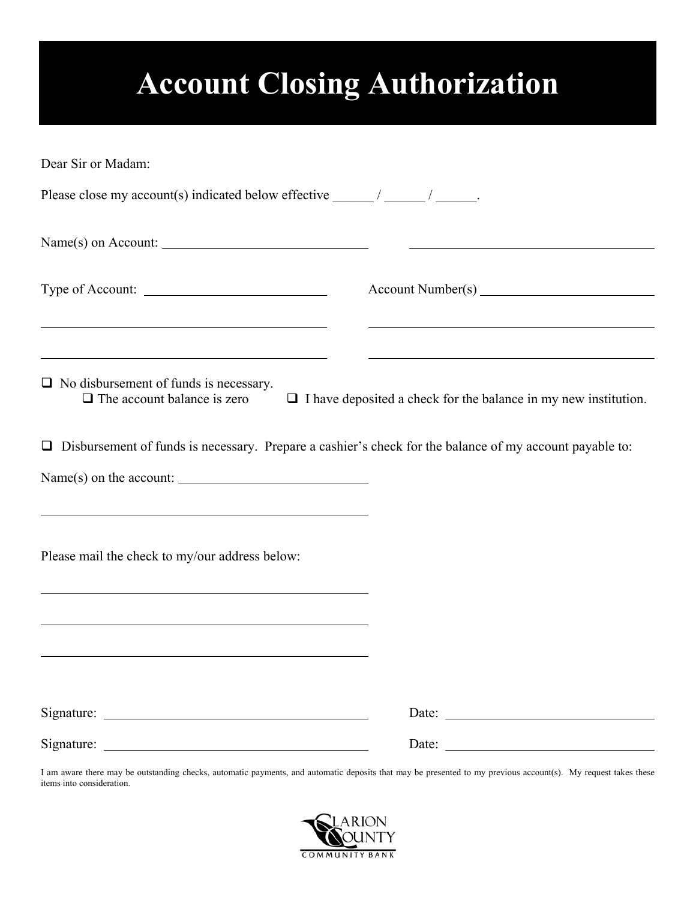# **Account Closing Authorization**

| Dear Sir or Madam:                                                                                                                                                                                          |                                                                                                                                      |
|-------------------------------------------------------------------------------------------------------------------------------------------------------------------------------------------------------------|--------------------------------------------------------------------------------------------------------------------------------------|
|                                                                                                                                                                                                             |                                                                                                                                      |
|                                                                                                                                                                                                             |                                                                                                                                      |
|                                                                                                                                                                                                             |                                                                                                                                      |
| <u> 1989 - Johann Stein, marwolaethau a bhann an t-Amhair an t-Amhair an t-Amhair an t-Amhair an t-Amhair an t-A</u><br>$\Box$ No disbursement of funds is necessary.<br>$\Box$ The account balance is zero | <u> 1989 - Johann Barn, amerikansk politiker (d. 1989)</u><br>$\Box$ I have deposited a check for the balance in my new institution. |
| $\Box$ Disbursement of funds is necessary. Prepare a cashier's check for the balance of my account payable to:                                                                                              |                                                                                                                                      |
| $Name(s)$ on the account: $\_\_\_\_\_\_\_\_\_\_\_\_\_\_\_\_\_\_\_\_\_\_\_\_\_\_\_\_$<br>and the control of the control of the control of the control of the control of the control of the control of the    |                                                                                                                                      |
| Please mail the check to my/our address below:                                                                                                                                                              |                                                                                                                                      |
|                                                                                                                                                                                                             |                                                                                                                                      |
|                                                                                                                                                                                                             | Date:                                                                                                                                |
|                                                                                                                                                                                                             | Date:                                                                                                                                |
| $\sim$ then we be other line shedden where the computer and outcombination that we be accounted to we accepted account(s). Moreover, there they                                                             |                                                                                                                                      |

I am aware there may be outstanding checks, automatic payments, and automatic deposits that may be presented to my previous account(s). My request takes these items into consideration.

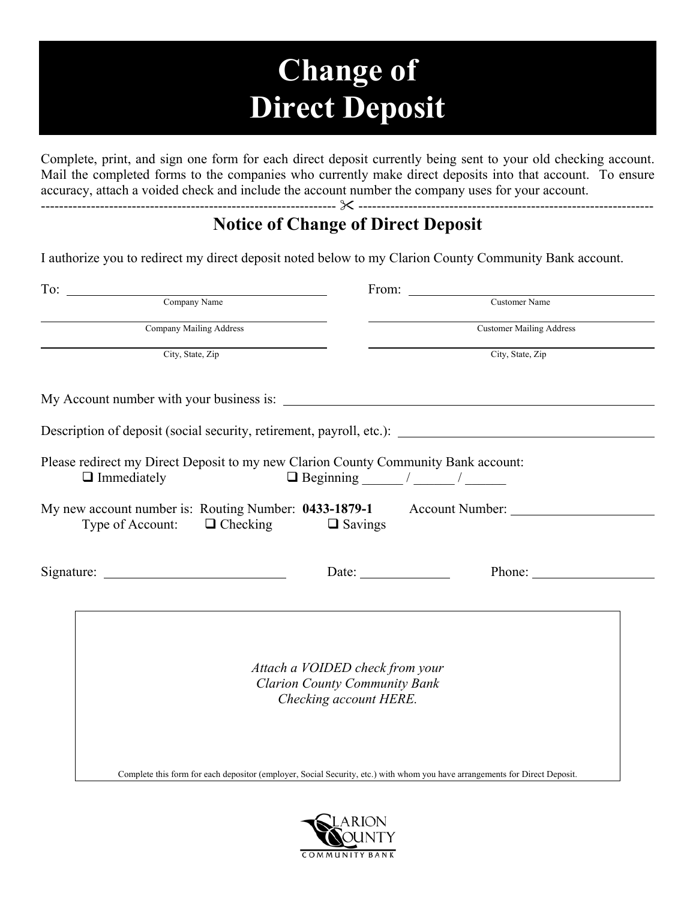## **Change of Direct Deposit**

Complete, print, and sign one form for each direct deposit currently being sent to your old checking account. Mail the completed forms to the companies who currently make direct deposits into that account. To ensure accuracy, attach a voided check and include the account number the company uses for your account. ----------------------------------------------------------------- -----------------------------------------------------------------

#### **Notice of Change of Direct Deposit**

I authorize you to redirect my direct deposit noted below to my Clarion County Community Bank account.

| To: Company Name        |                                                                                                                             | From: Customer Name             |  |  |
|-------------------------|-----------------------------------------------------------------------------------------------------------------------------|---------------------------------|--|--|
| Company Mailing Address |                                                                                                                             | <b>Customer Mailing Address</b> |  |  |
| City, State, Zip        |                                                                                                                             | City, State, Zip                |  |  |
|                         |                                                                                                                             |                                 |  |  |
|                         |                                                                                                                             |                                 |  |  |
| $\Box$ Immediately      | Please redirect my Direct Deposit to my new Clarion County Community Bank account:                                          |                                 |  |  |
|                         | Type of Account: $\Box$ Checking $\Box$ Savings                                                                             |                                 |  |  |
|                         | Date: $\qquad \qquad$                                                                                                       |                                 |  |  |
|                         | Attach a VOIDED check from your<br><b>Clarion County Community Bank</b><br>Checking account HERE.                           |                                 |  |  |
|                         | Complete this form for each depositor (employer, Social Security, etc.) with whom you have arrangements for Direct Deposit. |                                 |  |  |

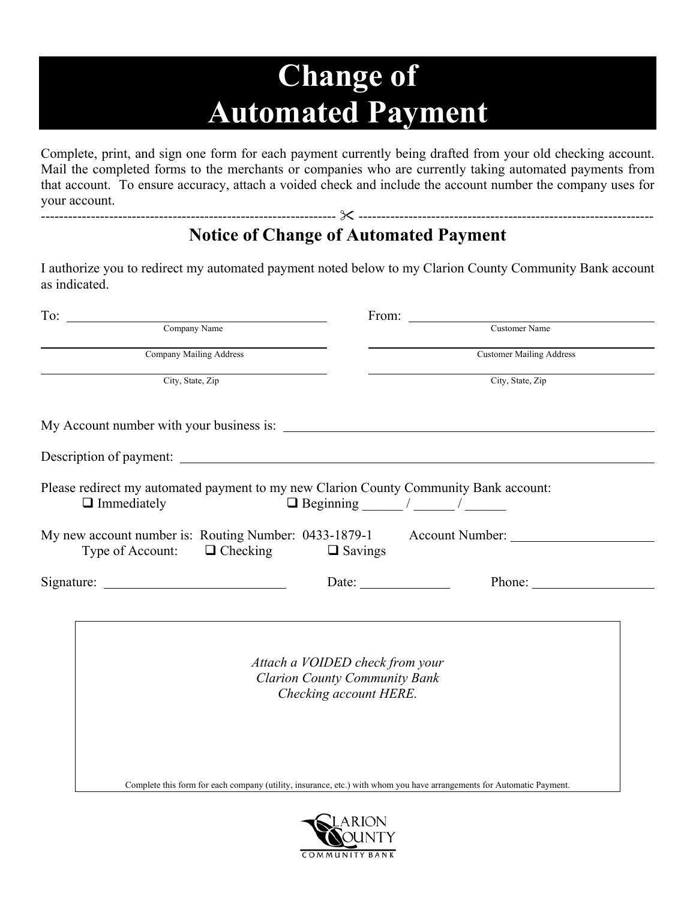### **Change of Automated Payment**

Complete, print, and sign one form for each payment currently being drafted from your old checking account. Mail the completed forms to the merchants or companies who are currently taking automated payments from that account. To ensure accuracy, attach a voided check and include the account number the company uses for your account.

#### **Notice of Change of Automated Payment**

----------------------------------------------------------------- -----------------------------------------------------------------

I authorize you to redirect my automated payment noted below to my Clarion County Community Bank account as indicated.

|                                                 | From: $\qquad \qquad$                                                                                                 |                                                                      |  |
|-------------------------------------------------|-----------------------------------------------------------------------------------------------------------------------|----------------------------------------------------------------------|--|
| To: Company Name                                |                                                                                                                       | Customer Name<br><b>Customer Mailing Address</b><br>City, State, Zip |  |
| Company Mailing Address                         |                                                                                                                       |                                                                      |  |
| City, State, Zip                                |                                                                                                                       |                                                                      |  |
|                                                 |                                                                                                                       |                                                                      |  |
|                                                 | Description of payment:                                                                                               |                                                                      |  |
| $\Box$ Immediately                              | Please redirect my automated payment to my new Clarion County Community Bank account:                                 |                                                                      |  |
| Type of Account: $\Box$ Checking $\Box$ Savings | My new account number is: Routing Number: 0433-1879-1 Account Number: ___________                                     |                                                                      |  |
|                                                 | Date: $\qquad \qquad$<br>Phone:                                                                                       |                                                                      |  |
|                                                 | Attach a VOIDED check from your<br><b>Clarion County Community Bank</b><br>Checking account HERE.                     |                                                                      |  |
|                                                 | Complete this form for each company (utility, insurance, etc.) with whom you have arrangements for Automatic Payment. |                                                                      |  |